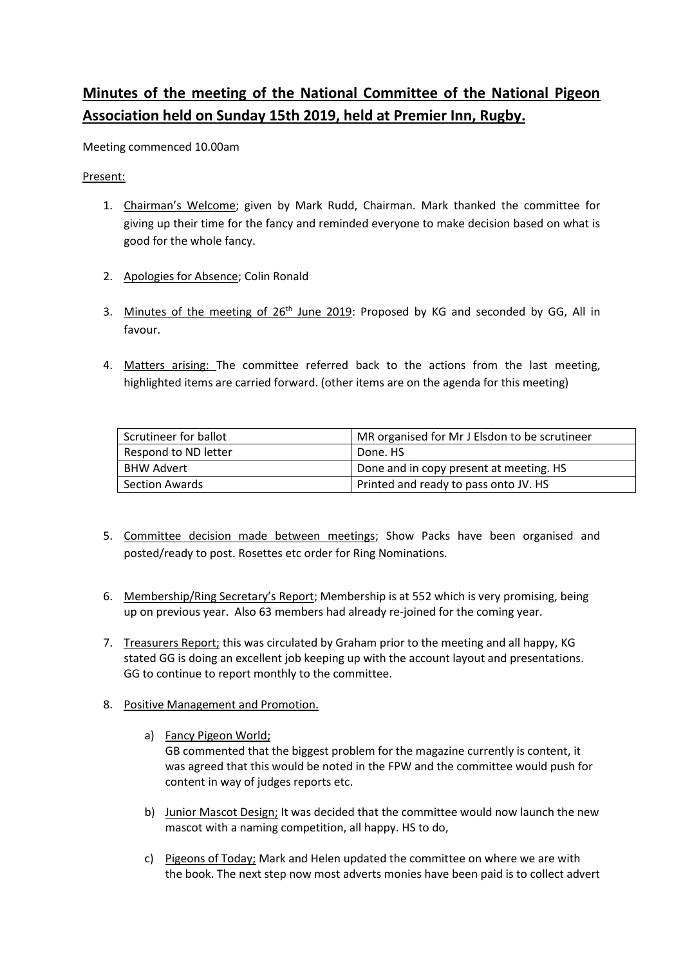## **Minutes of the meeting of the National Committee of the National Pigeon Association held on Sunday 15th 2019, held at Premier Inn, Rugby.**

Meeting commenced 10.00am

Present:

- 1. Chairman's Welcome; given by Mark Rudd, Chairman. Mark thanked the committee for giving up their time for the fancy and reminded everyone to make decision based on what is good for the whole fancy.
- 2. Apologies for Absence; Colin Ronald
- 3. Minutes of the meeting of 26<sup>th</sup> June 2019</u>: Proposed by KG and seconded by GG, All in favour.
- 4. Matters arising: The committee referred back to the actions from the last meeting, highlighted items are carried forward. (other items are on the agenda for this meeting)

| Scrutineer for ballot | MR organised for Mr J Elsdon to be scrutineer |
|-----------------------|-----------------------------------------------|
| Respond to ND letter  | Done. HS                                      |
| BHW Advert            | Done and in copy present at meeting. HS       |
| Section Awards        | Printed and ready to pass onto JV. HS         |

- 5. Committee decision made between meetings; Show Packs have been organised and posted/ready to post. Rosettes etc order for Ring Nominations.
- 6. Membership/Ring Secretary's Report; Membership is at 552 which is very promising, being up on previous year. Also 63 members had already re-joined for the coming year.
- 7. Treasurers Report; this was circulated by Graham prior to the meeting and all happy, KG stated GG is doing an excellent job keeping up with the account layout and presentations. GG to continue to report monthly to the committee.
- 8. Positive Management and Promotion.
	- a) Fancy Pigeon World; GB commented that the biggest problem for the magazine currently is content, it was agreed that this would be noted in the FPW and the committee would push for content in way of judges reports etc.
	- b) Junior Mascot Design; It was decided that the committee would now launch the new mascot with a naming competition, all happy. HS to do,
	- c) Pigeons of Today; Mark and Helen updated the committee on where we are with the book. The next step now most adverts monies have been paid is to collect advert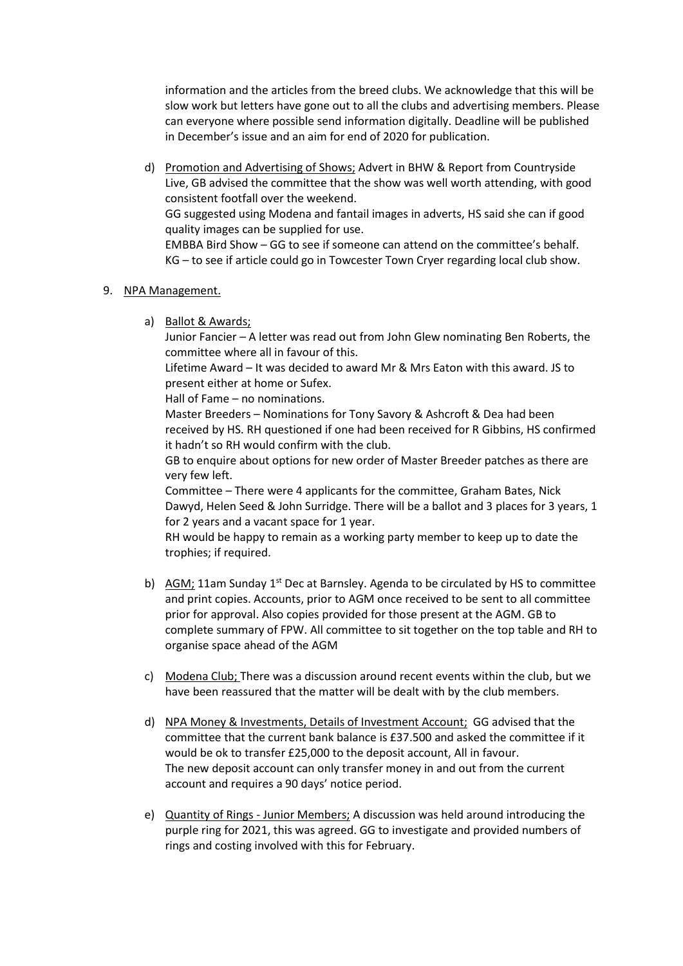information and the articles from the breed clubs. We acknowledge that this will be slow work but letters have gone out to all the clubs and advertising members. Please can everyone where possible send information digitally. Deadline will be published in December's issue and an aim for end of 2020 for publication.

d) Promotion and Advertising of Shows; Advert in BHW & Report from Countryside Live, GB advised the committee that the show was well worth attending, with good consistent footfall over the weekend. GG suggested using Modena and fantail images in adverts, HS said she can if good

quality images can be supplied for use.

EMBBA Bird Show – GG to see if someone can attend on the committee's behalf. KG – to see if article could go in Towcester Town Cryer regarding local club show.

## 9. NPA Management.

a) Ballot & Awards;

Junior Fancier – A letter was read out from John Glew nominating Ben Roberts, the committee where all in favour of this.

Lifetime Award – It was decided to award Mr & Mrs Eaton with this award. JS to present either at home or Sufex.

Hall of Fame – no nominations.

Master Breeders – Nominations for Tony Savory & Ashcroft & Dea had been received by HS. RH questioned if one had been received for R Gibbins, HS confirmed it hadn't so RH would confirm with the club.

GB to enquire about options for new order of Master Breeder patches as there are very few left.

Committee – There were 4 applicants for the committee, Graham Bates, Nick Dawyd, Helen Seed & John Surridge. There will be a ballot and 3 places for 3 years, 1 for 2 years and a vacant space for 1 year.

RH would be happy to remain as a working party member to keep up to date the trophies; if required.

- b) AGM; 11am Sunday 1<sup>st</sup> Dec at Barnsley. Agenda to be circulated by HS to committee and print copies. Accounts, prior to AGM once received to be sent to all committee prior for approval. Also copies provided for those present at the AGM. GB to complete summary of FPW. All committee to sit together on the top table and RH to organise space ahead of the AGM
- c) Modena Club; There was a discussion around recent events within the club, but we have been reassured that the matter will be dealt with by the club members.
- d) NPA Money & Investments, Details of Investment Account; GG advised that the committee that the current bank balance is £37.500 and asked the committee if it would be ok to transfer £25,000 to the deposit account, All in favour. The new deposit account can only transfer money in and out from the current account and requires a 90 days' notice period.
- e) Quantity of Rings Junior Members; A discussion was held around introducing the purple ring for 2021, this was agreed. GG to investigate and provided numbers of rings and costing involved with this for February.